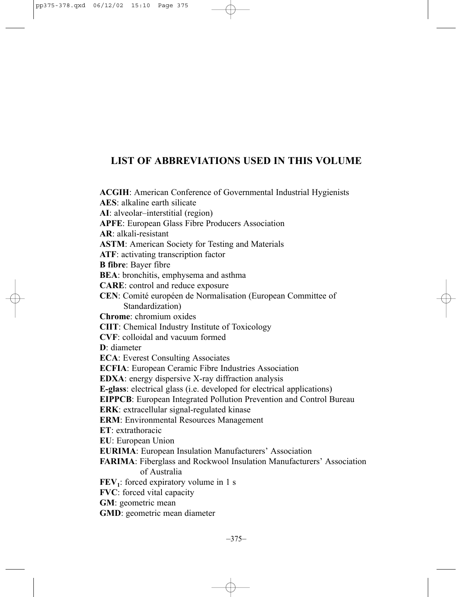## **LIST OF ABBREVIATIONS USED IN THIS VOLUME**

**ACGIH**: American Conference of Governmental Industrial Hygienists **AES**: alkaline earth silicate **AI**: alveolar–interstitial (region) **APFE**: European Glass Fibre Producers Association **AR**: alkali-resistant **ASTM**: American Society for Testing and Materials **ATF**: activating transcription factor **B fibre**: Bayer fibre **BEA**: bronchitis, emphysema and asthma **CARE**: control and reduce exposure **CEN**: Comité européen de Normalisation (European Committee of Standardization) **Chrome**: chromium oxides **CIIT**: Chemical Industry Institute of Toxicology **CVF**: colloidal and vacuum formed **D**: diameter **ECA**: Everest Consulting Associates **ECFIA**: European Ceramic Fibre Industries Association **EDXA**: energy dispersive X-ray diffraction analysis **E-glass**: electrical glass (i.e. developed for electrical applications) **EIPPCB**: European Integrated Pollution Prevention and Control Bureau **ERK**: extracellular signal-regulated kinase **ERM**: Environmental Resources Management **ET**: extrathoracic **EU**: European Union **EURIMA**: European Insulation Manufacturers' Association **FARIMA**: Fiberglass and Rockwool Insulation Manufacturers' Association of Australia  $\mathbf{FEV}_1$ : forced expiratory volume in 1 s **FVC**: forced vital capacity **GM**: geometric mean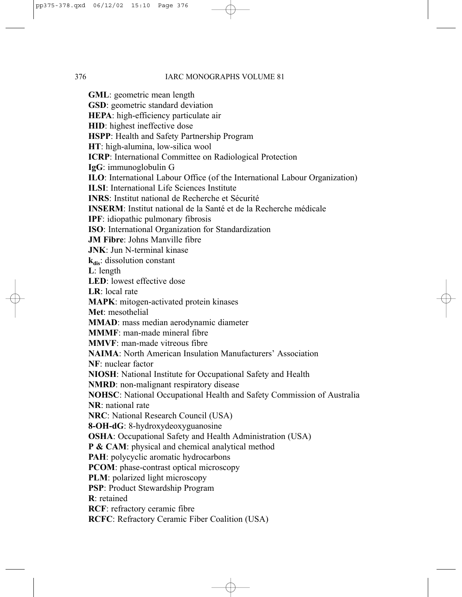**GML**: geometric mean length **GSD**: geometric standard deviation **HEPA**: high-efficiency particulate air **HID**: highest ineffective dose **HSPP**: Health and Safety Partnership Program **HT**: high-alumina, low-silica wool **ICRP**: International Committee on Radiological Protection **IgG**: immunoglobulin G **ILO**: International Labour Office (of the International Labour Organization) **ILSI**: International Life Sciences Institute **INRS**: Institut national de Recherche et Sécurité **INSERM**: Institut national de la Santé et de la Recherche médicale **IPF**: idiopathic pulmonary fibrosis **ISO**: International Organization for Standardization **JM Fibre**: Johns Manville fibre **JNK**: Jun N-terminal kinase **k**<sub>dis</sub>: dissolution constant **L**: length **LED**: lowest effective dose **LR**: local rate **MAPK**: mitogen-activated protein kinases **Met**: mesothelial **MMAD**: mass median aerodynamic diameter **MMMF**: man-made mineral fibre **MMVF**: man-made vitreous fibre **NAIMA**: North American Insulation Manufacturers' Association **NF**: nuclear factor **NIOSH**: National Institute for Occupational Safety and Health **NMRD**: non-malignant respiratory disease **NOHSC**: National Occupational Health and Safety Commission of Australia **NR**: national rate **NRC**: National Research Council (USA) **8-OH-dG**: 8-hydroxydeoxyguanosine **OSHA**: Occupational Safety and Health Administration (USA) **P & CAM**: physical and chemical analytical method **PAH**: polycyclic aromatic hydrocarbons **PCOM**: phase-contrast optical microscopy **PLM**: polarized light microscopy **PSP**: Product Stewardship Program **R**: retained **RCF**: refractory ceramic fibre **RCFC**: Refractory Ceramic Fiber Coalition (USA)